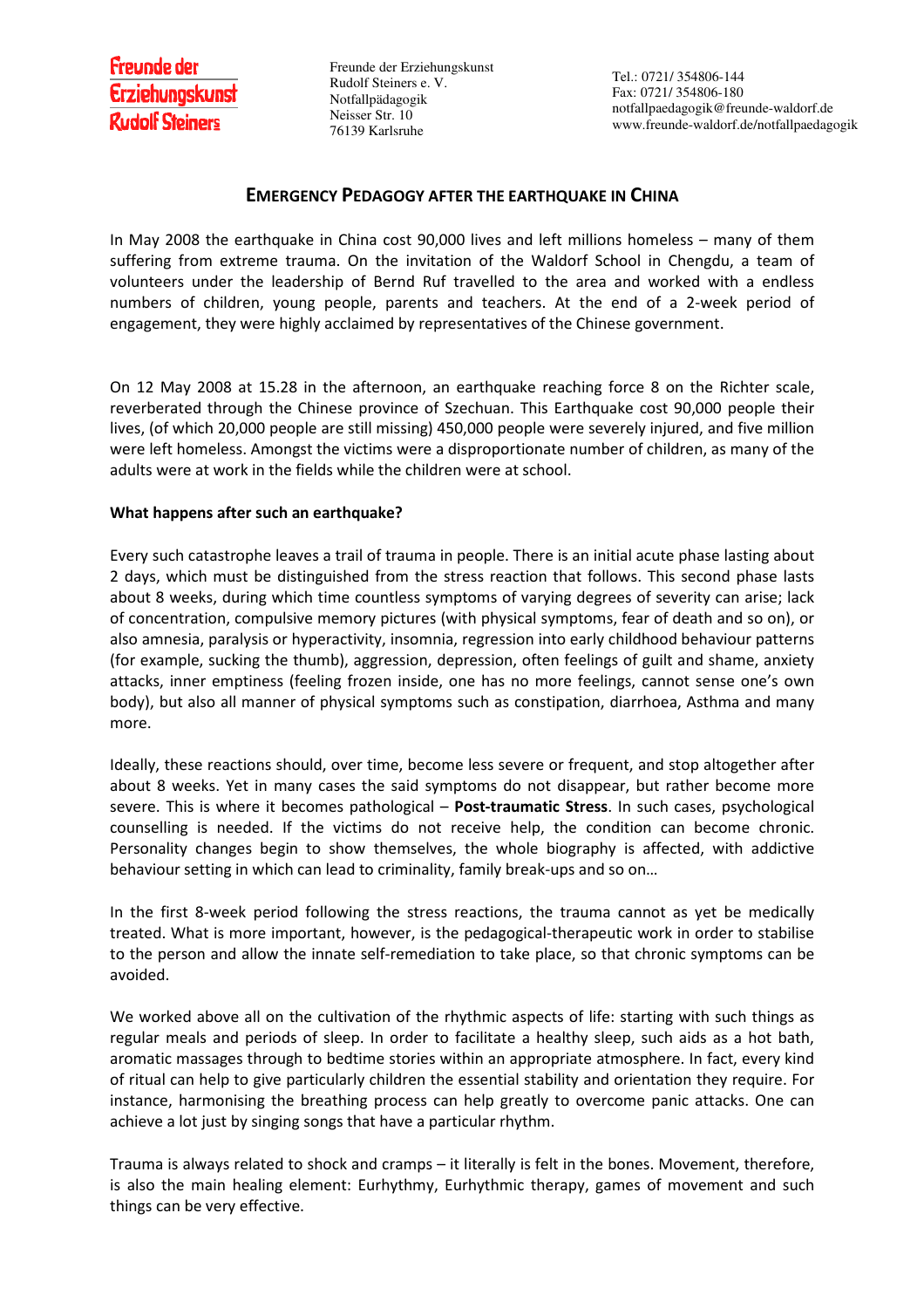

# **EMERGENCY PEDAGOGY AFTER THE EARTHQUAKE IN CHINA**

In May 2008 the earthquake in China cost 90,000 lives and left millions homeless – many of them suffering from extreme trauma. On the invitation of the Waldorf School in Chengdu, a team of volunteers under the leadership of Bernd Ruf travelled to the area and worked with a endless numbers of children, young people, parents and teachers. At the end of a 2-week period of engagement, they were highly acclaimed by representatives of the Chinese government.

On 12 May 2008 at 15.28 in the afternoon, an earthquake reaching force 8 on the Richter scale, reverberated through the Chinese province of Szechuan. This Earthquake cost 90,000 people their lives, (of which 20,000 people are still missing) 450,000 people were severely injured, and five million were left homeless. Amongst the victims were a disproportionate number of children, as many of the adults were at work in the fields while the children were at school.

## **What happens after such an earthquake?**

Every such catastrophe leaves a trail of trauma in people. There is an initial acute phase lasting about 2 days, which must be distinguished from the stress reaction that follows. This second phase lasts about 8 weeks, during which time countless symptoms of varying degrees of severity can arise; lack of concentration, compulsive memory pictures (with physical symptoms, fear of death and so on), or also amnesia, paralysis or hyperactivity, insomnia, regression into early childhood behaviour patterns (for example, sucking the thumb), aggression, depression, often feelings of guilt and shame, anxiety attacks, inner emptiness (feeling frozen inside, one has no more feelings, cannot sense one's own body), but also all manner of physical symptoms such as constipation, diarrhoea, Asthma and many more.

Ideally, these reactions should, over time, become less severe or frequent, and stop altogether after about 8 weeks. Yet in many cases the said symptoms do not disappear, but rather become more severe. This is where it becomes pathological – **Post-traumatic Stress**. In such cases, psychological counselling is needed. If the victims do not receive help, the condition can become chronic. Personality changes begin to show themselves, the whole biography is affected, with addictive behaviour setting in which can lead to criminality, family break-ups and so on…

In the first 8-week period following the stress reactions, the trauma cannot as yet be medically treated. What is more important, however, is the pedagogical-therapeutic work in order to stabilise to the person and allow the innate self-remediation to take place, so that chronic symptoms can be avoided.

We worked above all on the cultivation of the rhythmic aspects of life: starting with such things as regular meals and periods of sleep. In order to facilitate a healthy sleep, such aids as a hot bath, aromatic massages through to bedtime stories within an appropriate atmosphere. In fact, every kind of ritual can help to give particularly children the essential stability and orientation they require. For instance, harmonising the breathing process can help greatly to overcome panic attacks. One can achieve a lot just by singing songs that have a particular rhythm.

Trauma is always related to shock and cramps – it literally is felt in the bones. Movement, therefore, is also the main healing element: Eurhythmy, Eurhythmic therapy, games of movement and such things can be very effective.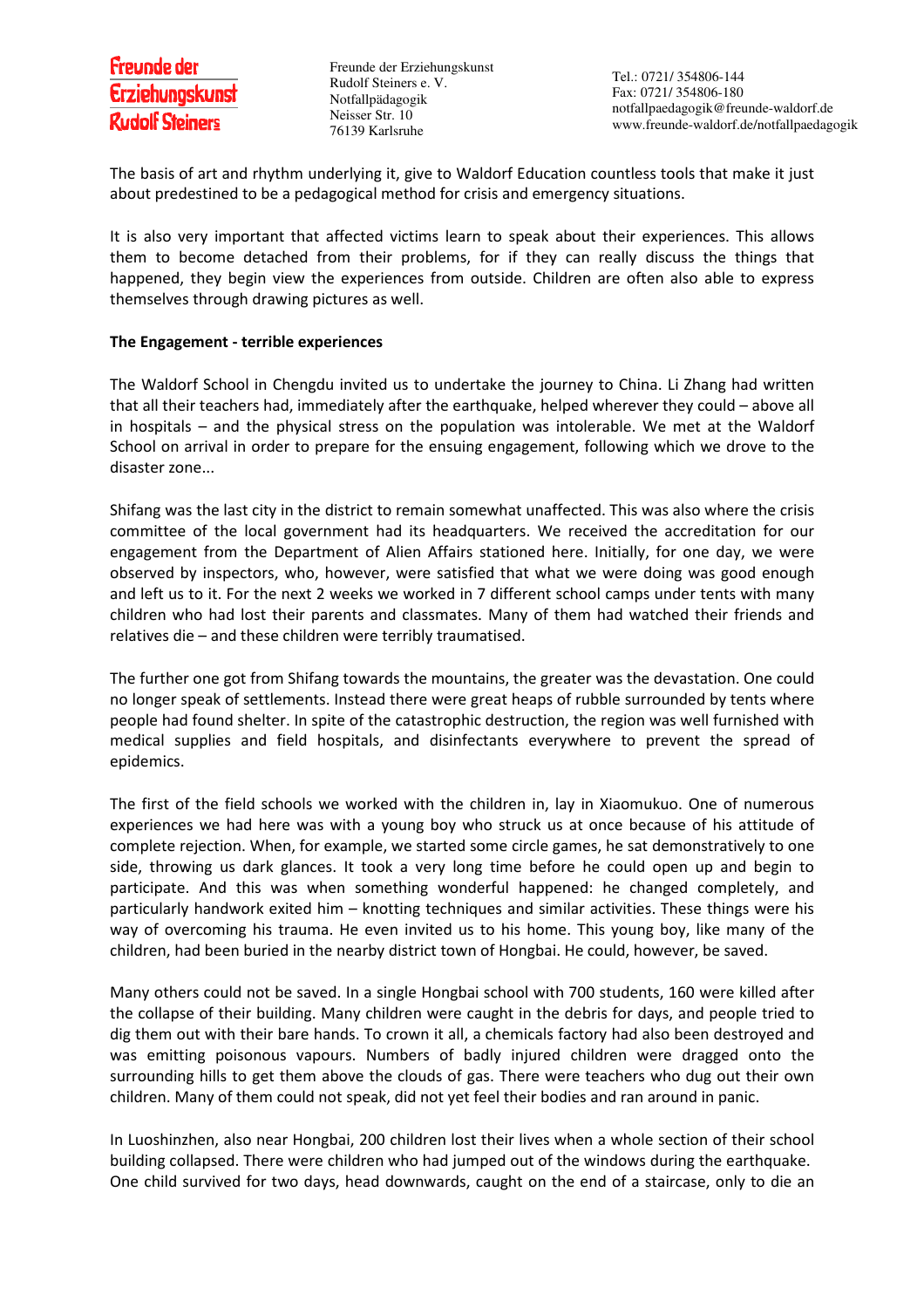Tel.: 0721/ 354806-144 Fax: 0721/ 354806-180 notfallpaedagogik@freunde-waldorf.de www.freunde-waldorf.de/notfallpaedagogik

The basis of art and rhythm underlying it, give to Waldorf Education countless tools that make it just about predestined to be a pedagogical method for crisis and emergency situations.

It is also very important that affected victims learn to speak about their experiences. This allows them to become detached from their problems, for if they can really discuss the things that happened, they begin view the experiences from outside. Children are often also able to express themselves through drawing pictures as well.

#### **The Engagement - terrible experiences**

The Waldorf School in Chengdu invited us to undertake the journey to China. Li Zhang had written that all their teachers had, immediately after the earthquake, helped wherever they could – above all in hospitals – and the physical stress on the population was intolerable. We met at the Waldorf School on arrival in order to prepare for the ensuing engagement, following which we drove to the disaster zone...

Shifang was the last city in the district to remain somewhat unaffected. This was also where the crisis committee of the local government had its headquarters. We received the accreditation for our engagement from the Department of Alien Affairs stationed here. Initially, for one day, we were observed by inspectors, who, however, were satisfied that what we were doing was good enough and left us to it. For the next 2 weeks we worked in 7 different school camps under tents with many children who had lost their parents and classmates. Many of them had watched their friends and relatives die – and these children were terribly traumatised.

The further one got from Shifang towards the mountains, the greater was the devastation. One could no longer speak of settlements. Instead there were great heaps of rubble surrounded by tents where people had found shelter. In spite of the catastrophic destruction, the region was well furnished with medical supplies and field hospitals, and disinfectants everywhere to prevent the spread of epidemics.

The first of the field schools we worked with the children in, lay in Xiaomukuo. One of numerous experiences we had here was with a young boy who struck us at once because of his attitude of complete rejection. When, for example, we started some circle games, he sat demonstratively to one side, throwing us dark glances. It took a very long time before he could open up and begin to participate. And this was when something wonderful happened: he changed completely, and particularly handwork exited him – knotting techniques and similar activities. These things were his way of overcoming his trauma. He even invited us to his home. This young boy, like many of the children, had been buried in the nearby district town of Hongbai. He could, however, be saved.

Many others could not be saved. In a single Hongbai school with 700 students, 160 were killed after the collapse of their building. Many children were caught in the debris for days, and people tried to dig them out with their bare hands. To crown it all, a chemicals factory had also been destroyed and was emitting poisonous vapours. Numbers of badly injured children were dragged onto the surrounding hills to get them above the clouds of gas. There were teachers who dug out their own children. Many of them could not speak, did not yet feel their bodies and ran around in panic.

In Luoshinzhen, also near Hongbai, 200 children lost their lives when a whole section of their school building collapsed. There were children who had jumped out of the windows during the earthquake. One child survived for two days, head downwards, caught on the end of a staircase, only to die an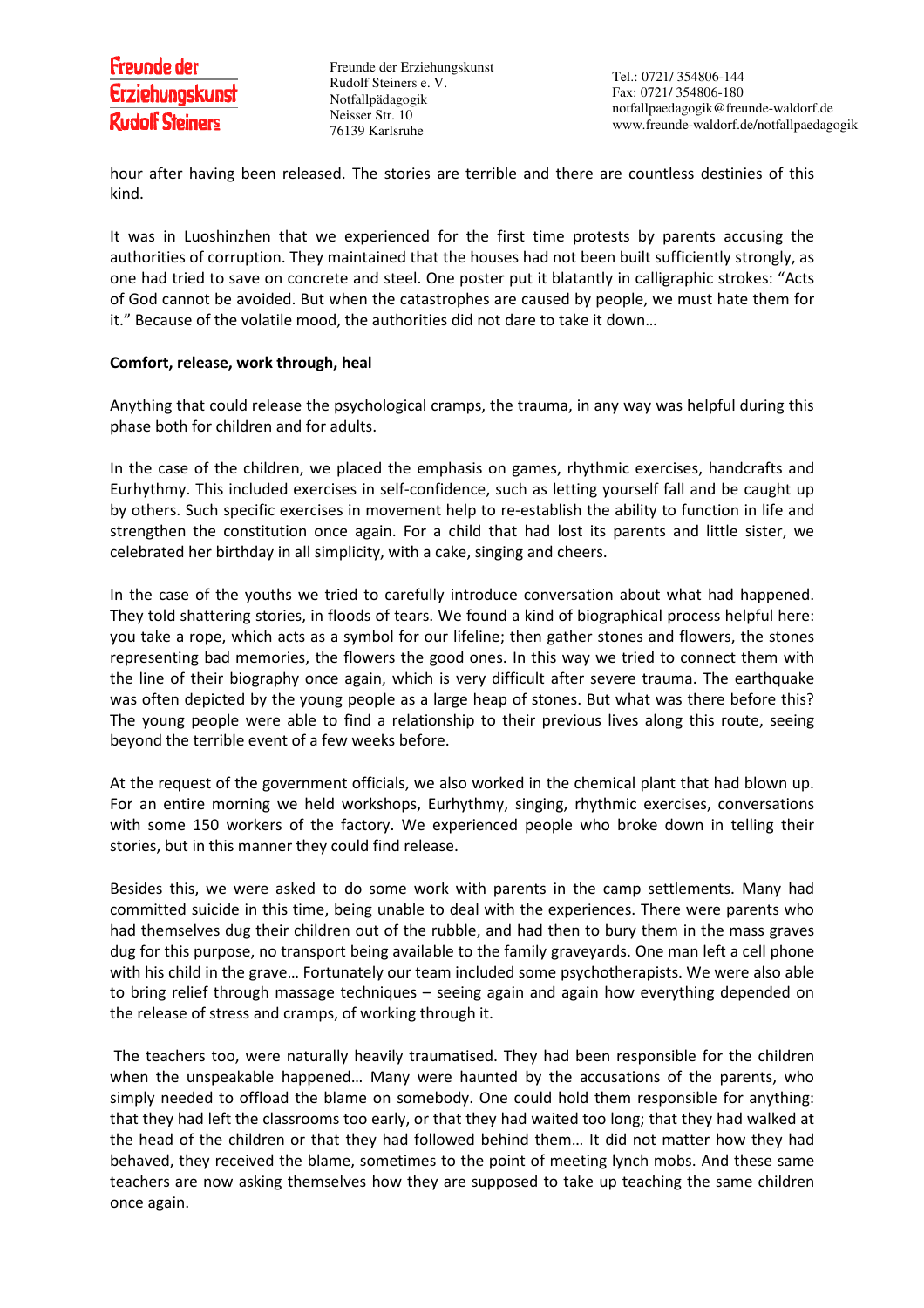hour after having been released. The stories are terrible and there are countless destinies of this kind.

It was in Luoshinzhen that we experienced for the first time protests by parents accusing the authorities of corruption. They maintained that the houses had not been built sufficiently strongly, as one had tried to save on concrete and steel. One poster put it blatantly in calligraphic strokes: "Acts of God cannot be avoided. But when the catastrophes are caused by people, we must hate them for it." Because of the volatile mood, the authorities did not dare to take it down…

#### **Comfort, release, work through, heal**

Anything that could release the psychological cramps, the trauma, in any way was helpful during this phase both for children and for adults.

In the case of the children, we placed the emphasis on games, rhythmic exercises, handcrafts and Eurhythmy. This included exercises in self-confidence, such as letting yourself fall and be caught up by others. Such specific exercises in movement help to re-establish the ability to function in life and strengthen the constitution once again. For a child that had lost its parents and little sister, we celebrated her birthday in all simplicity, with a cake, singing and cheers.

In the case of the youths we tried to carefully introduce conversation about what had happened. They told shattering stories, in floods of tears. We found a kind of biographical process helpful here: you take a rope, which acts as a symbol for our lifeline; then gather stones and flowers, the stones representing bad memories, the flowers the good ones. In this way we tried to connect them with the line of their biography once again, which is very difficult after severe trauma. The earthquake was often depicted by the young people as a large heap of stones. But what was there before this? The young people were able to find a relationship to their previous lives along this route, seeing beyond the terrible event of a few weeks before.

At the request of the government officials, we also worked in the chemical plant that had blown up. For an entire morning we held workshops, Eurhythmy, singing, rhythmic exercises, conversations with some 150 workers of the factory. We experienced people who broke down in telling their stories, but in this manner they could find release.

Besides this, we were asked to do some work with parents in the camp settlements. Many had committed suicide in this time, being unable to deal with the experiences. There were parents who had themselves dug their children out of the rubble, and had then to bury them in the mass graves dug for this purpose, no transport being available to the family graveyards. One man left a cell phone with his child in the grave… Fortunately our team included some psychotherapists. We were also able to bring relief through massage techniques – seeing again and again how everything depended on the release of stress and cramps, of working through it.

 The teachers too, were naturally heavily traumatised. They had been responsible for the children when the unspeakable happened… Many were haunted by the accusations of the parents, who simply needed to offload the blame on somebody. One could hold them responsible for anything: that they had left the classrooms too early, or that they had waited too long; that they had walked at the head of the children or that they had followed behind them… It did not matter how they had behaved, they received the blame, sometimes to the point of meeting lynch mobs. And these same teachers are now asking themselves how they are supposed to take up teaching the same children once again.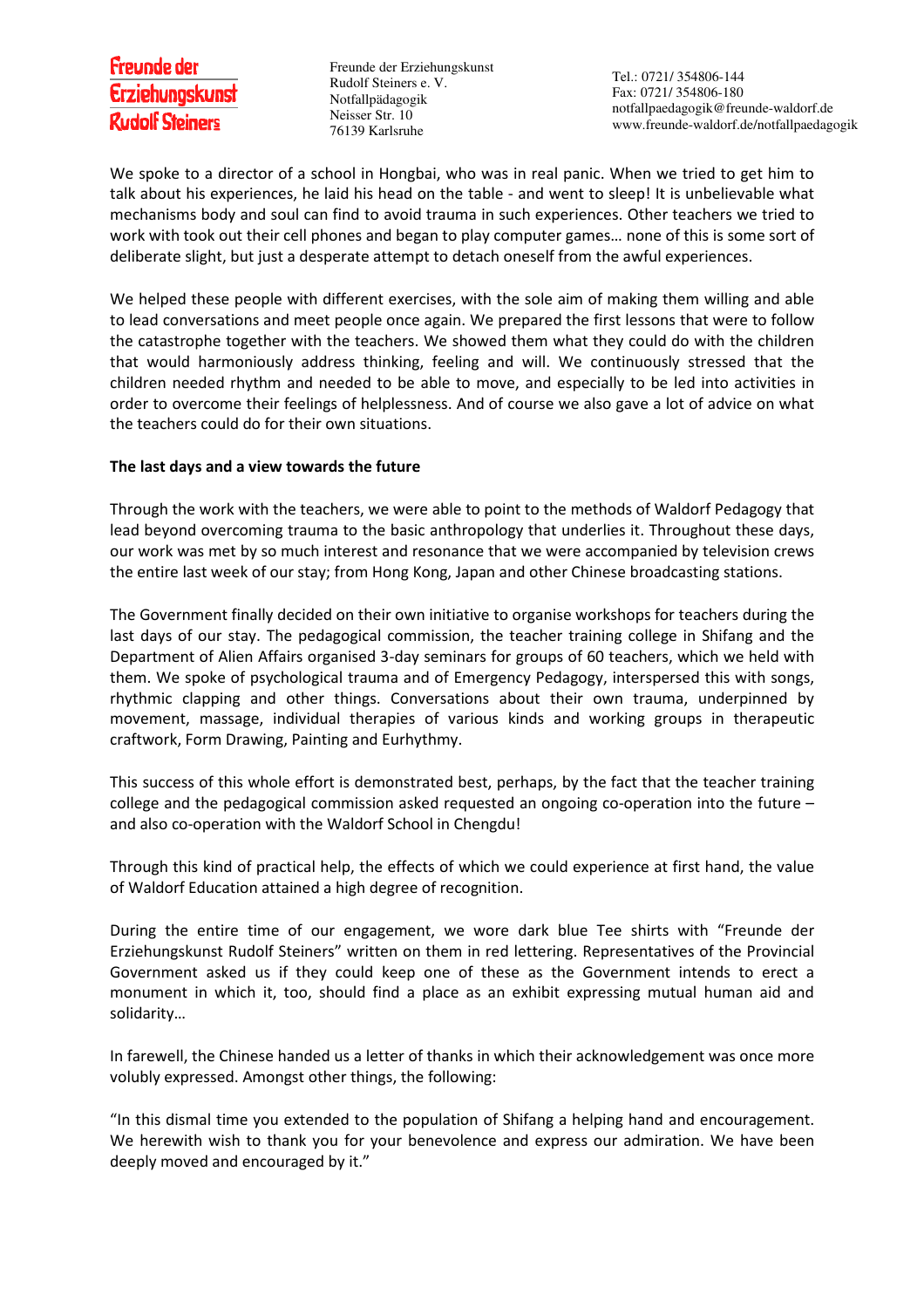# **Freunde der Erziehungskunst Rudolf Steiners**

Freunde der Erziehungskunst Rudolf Steiners e. V. Notfallpädagogik Neisser Str. 10 76139 Karlsruhe

Tel.: 0721/ 354806-144 Fax: 0721/ 354806-180 notfallpaedagogik@freunde-waldorf.de www.freunde-waldorf.de/notfallpaedagogik

We spoke to a director of a school in Hongbai, who was in real panic. When we tried to get him to talk about his experiences, he laid his head on the table - and went to sleep! It is unbelievable what mechanisms body and soul can find to avoid trauma in such experiences. Other teachers we tried to work with took out their cell phones and began to play computer games… none of this is some sort of deliberate slight, but just a desperate attempt to detach oneself from the awful experiences.

We helped these people with different exercises, with the sole aim of making them willing and able to lead conversations and meet people once again. We prepared the first lessons that were to follow the catastrophe together with the teachers. We showed them what they could do with the children that would harmoniously address thinking, feeling and will. We continuously stressed that the children needed rhythm and needed to be able to move, and especially to be led into activities in order to overcome their feelings of helplessness. And of course we also gave a lot of advice on what the teachers could do for their own situations.

## **The last days and a view towards the future**

Through the work with the teachers, we were able to point to the methods of Waldorf Pedagogy that lead beyond overcoming trauma to the basic anthropology that underlies it. Throughout these days, our work was met by so much interest and resonance that we were accompanied by television crews the entire last week of our stay; from Hong Kong, Japan and other Chinese broadcasting stations.

The Government finally decided on their own initiative to organise workshops for teachers during the last days of our stay. The pedagogical commission, the teacher training college in Shifang and the Department of Alien Affairs organised 3-day seminars for groups of 60 teachers, which we held with them. We spoke of psychological trauma and of Emergency Pedagogy, interspersed this with songs, rhythmic clapping and other things. Conversations about their own trauma, underpinned by movement, massage, individual therapies of various kinds and working groups in therapeutic craftwork, Form Drawing, Painting and Eurhythmy.

This success of this whole effort is demonstrated best, perhaps, by the fact that the teacher training college and the pedagogical commission asked requested an ongoing co-operation into the future – and also co-operation with the Waldorf School in Chengdu!

Through this kind of practical help, the effects of which we could experience at first hand, the value of Waldorf Education attained a high degree of recognition.

During the entire time of our engagement, we wore dark blue Tee shirts with "Freunde der Erziehungskunst Rudolf Steiners" written on them in red lettering. Representatives of the Provincial Government asked us if they could keep one of these as the Government intends to erect a monument in which it, too, should find a place as an exhibit expressing mutual human aid and solidarity…

In farewell, the Chinese handed us a letter of thanks in which their acknowledgement was once more volubly expressed. Amongst other things, the following:

"In this dismal time you extended to the population of Shifang a helping hand and encouragement. We herewith wish to thank you for your benevolence and express our admiration. We have been deeply moved and encouraged by it."